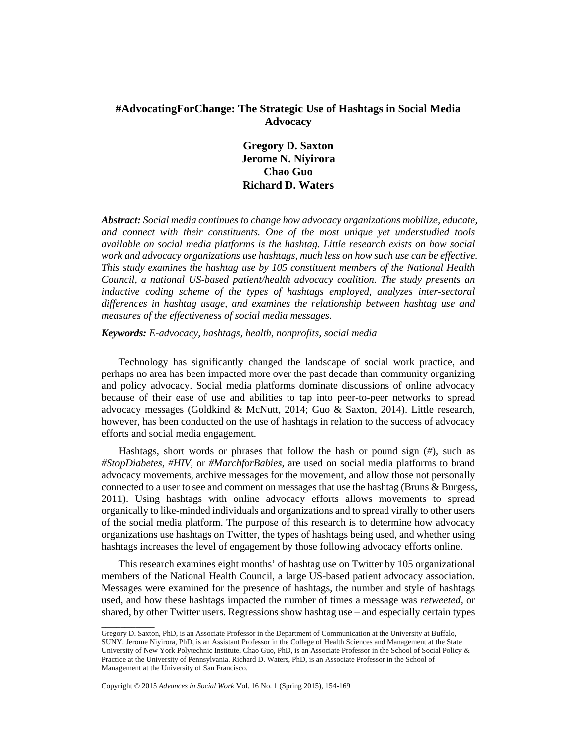# **#AdvocatingForChange: The Strategic Use of Hashtags in Social Media Advocacy**

**Gregory D. Saxton Jerome N. Niyirora Chao Guo Richard D. Waters** 

*Abstract: Social media continues to change how advocacy organizations mobilize, educate, and connect with their constituents. One of the most unique yet understudied tools available on social media platforms is the hashtag. Little research exists on how social work and advocacy organizations use hashtags, much less on how such use can be effective. This study examines the hashtag use by 105 constituent members of the National Health Council, a national US-based patient/health advocacy coalition. The study presents an inductive coding scheme of the types of hashtags employed, analyzes inter-sectoral differences in hashtag usage, and examines the relationship between hashtag use and measures of the effectiveness of social media messages.* 

*Keywords: E-advocacy, hashtags, health, nonprofits, social media* 

Technology has significantly changed the landscape of social work practice, and perhaps no area has been impacted more over the past decade than community organizing and policy advocacy. Social media platforms dominate discussions of online advocacy because of their ease of use and abilities to tap into peer-to-peer networks to spread advocacy messages (Goldkind & McNutt, 2014; Guo & Saxton, 2014). Little research, however, has been conducted on the use of hashtags in relation to the success of advocacy efforts and social media engagement.

Hashtags, short words or phrases that follow the hash or pound sign (*#*), such as *#StopDiabetes, #HIV,* or *#MarchforBabies*, are used on social media platforms to brand advocacy movements, archive messages for the movement, and allow those not personally connected to a user to see and comment on messages that use the hashtag (Bruns & Burgess, 2011). Using hashtags with online advocacy efforts allows movements to spread organically to like-minded individuals and organizations and to spread virally to other users of the social media platform. The purpose of this research is to determine how advocacy organizations use hashtags on Twitter, the types of hashtags being used, and whether using hashtags increases the level of engagement by those following advocacy efforts online.

This research examines eight months' of hashtag use on Twitter by 105 organizational members of the National Health Council, a large US-based patient advocacy association. Messages were examined for the presence of hashtags, the number and style of hashtags used, and how these hashtags impacted the number of times a message was *retweeted,* or shared, by other Twitter users. Regressions show hashtag use – and especially certain types

Copyright © 2015 *Advances in Social Work* Vol. 16 No. 1 (Spring 2015), 154-169

\_\_\_\_\_\_\_\_\_\_\_\_\_\_

Gregory D. Saxton, PhD, is an Associate Professor in the Department of Communication at the University at Buffalo, SUNY. Jerome Niyirora, PhD, is an Assistant Professor in the College of Health Sciences and Management at the State University of New York Polytechnic Institute. Chao Guo, PhD, is an Associate Professor in the School of Social Policy & Practice at the University of Pennsylvania. Richard D. Waters, PhD, is an Associate Professor in the School of Management at the University of San Francisco.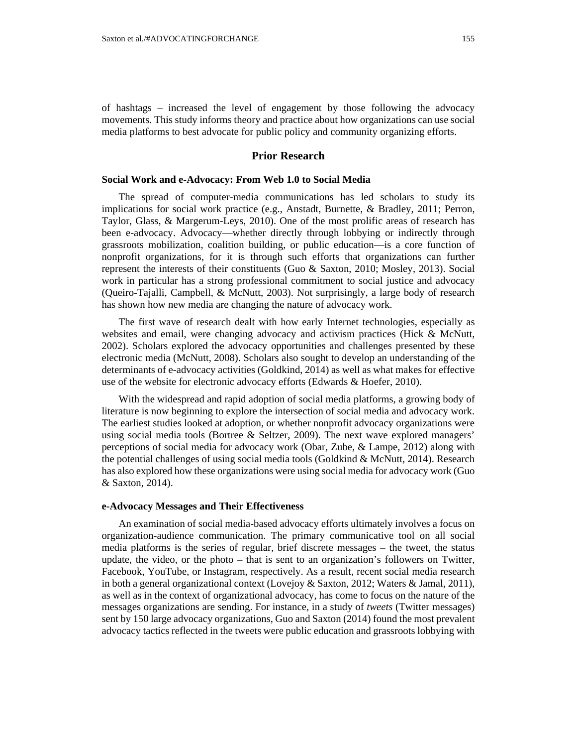of hashtags – increased the level of engagement by those following the advocacy movements. This study informs theory and practice about how organizations can use social media platforms to best advocate for public policy and community organizing efforts.

## **Prior Research**

## **Social Work and e-Advocacy: From Web 1.0 to Social Media**

The spread of computer-media communications has led scholars to study its implications for social work practice (e.g., Anstadt, Burnette, & Bradley, 2011; Perron, Taylor, Glass, & Margerum-Leys, 2010). One of the most prolific areas of research has been e-advocacy. Advocacy—whether directly through lobbying or indirectly through grassroots mobilization, coalition building, or public education—is a core function of nonprofit organizations, for it is through such efforts that organizations can further represent the interests of their constituents (Guo & Saxton, 2010; Mosley, 2013). Social work in particular has a strong professional commitment to social justice and advocacy (Queiro-Tajalli, Campbell, & McNutt, 2003). Not surprisingly, a large body of research has shown how new media are changing the nature of advocacy work.

The first wave of research dealt with how early Internet technologies, especially as websites and email, were changing advocacy and activism practices (Hick & McNutt, 2002). Scholars explored the advocacy opportunities and challenges presented by these electronic media (McNutt, 2008). Scholars also sought to develop an understanding of the determinants of e-advocacy activities (Goldkind, 2014) as well as what makes for effective use of the website for electronic advocacy efforts (Edwards & Hoefer, 2010).

With the widespread and rapid adoption of social media platforms, a growing body of literature is now beginning to explore the intersection of social media and advocacy work. The earliest studies looked at adoption, or whether nonprofit advocacy organizations were using social media tools (Bortree & Seltzer, 2009). The next wave explored managers' perceptions of social media for advocacy work (Obar, Zube, & Lampe, 2012) along with the potential challenges of using social media tools (Goldkind & McNutt, 2014). Research has also explored how these organizations were using social media for advocacy work (Guo & Saxton, 2014).

### **e-Advocacy Messages and Their Effectiveness**

An examination of social media-based advocacy efforts ultimately involves a focus on organization-audience communication. The primary communicative tool on all social media platforms is the series of regular, brief discrete messages – the tweet, the status update, the video, or the photo – that is sent to an organization's followers on Twitter, Facebook, YouTube, or Instagram, respectively. As a result, recent social media research in both a general organizational context (Lovejoy & Saxton, 2012; Waters & Jamal, 2011), as well as in the context of organizational advocacy, has come to focus on the nature of the messages organizations are sending. For instance, in a study of *tweets* (Twitter messages) sent by 150 large advocacy organizations, Guo and Saxton (2014) found the most prevalent advocacy tactics reflected in the tweets were public education and grassroots lobbying with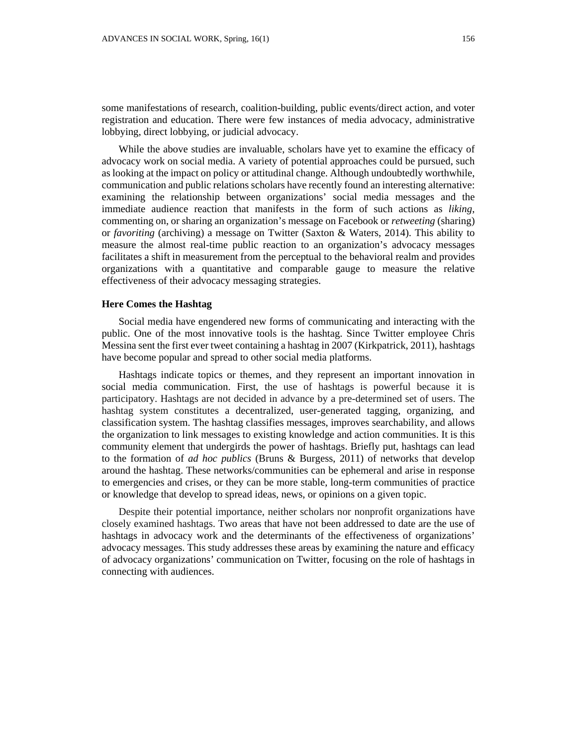some manifestations of research, coalition-building, public events/direct action, and voter registration and education. There were few instances of media advocacy, administrative lobbying, direct lobbying, or judicial advocacy.

While the above studies are invaluable, scholars have yet to examine the efficacy of advocacy work on social media. A variety of potential approaches could be pursued, such as looking at the impact on policy or attitudinal change. Although undoubtedly worthwhile, communication and public relations scholars have recently found an interesting alternative: examining the relationship between organizations' social media messages and the immediate audience reaction that manifests in the form of such actions as *liking*, commenting on, or sharing an organization's message on Facebook or *retweeting* (sharing) or *favoriting* (archiving) a message on Twitter (Saxton & Waters, 2014). This ability to measure the almost real-time public reaction to an organization's advocacy messages facilitates a shift in measurement from the perceptual to the behavioral realm and provides organizations with a quantitative and comparable gauge to measure the relative effectiveness of their advocacy messaging strategies.

#### **Here Comes the Hashtag**

Social media have engendered new forms of communicating and interacting with the public. One of the most innovative tools is the hashtag. Since Twitter employee Chris Messina sent the first ever tweet containing a hashtag in 2007 (Kirkpatrick, 2011), hashtags have become popular and spread to other social media platforms.

Hashtags indicate topics or themes, and they represent an important innovation in social media communication. First, the use of hashtags is powerful because it is participatory. Hashtags are not decided in advance by a pre-determined set of users. The hashtag system constitutes a decentralized, user-generated tagging, organizing, and classification system. The hashtag classifies messages, improves searchability, and allows the organization to link messages to existing knowledge and action communities. It is this community element that undergirds the power of hashtags. Briefly put, hashtags can lead to the formation of *ad hoc publics* (Bruns & Burgess, 2011) of networks that develop around the hashtag. These networks/communities can be ephemeral and arise in response to emergencies and crises, or they can be more stable, long-term communities of practice or knowledge that develop to spread ideas, news, or opinions on a given topic.

Despite their potential importance, neither scholars nor nonprofit organizations have closely examined hashtags. Two areas that have not been addressed to date are the use of hashtags in advocacy work and the determinants of the effectiveness of organizations' advocacy messages. This study addresses these areas by examining the nature and efficacy of advocacy organizations' communication on Twitter, focusing on the role of hashtags in connecting with audiences.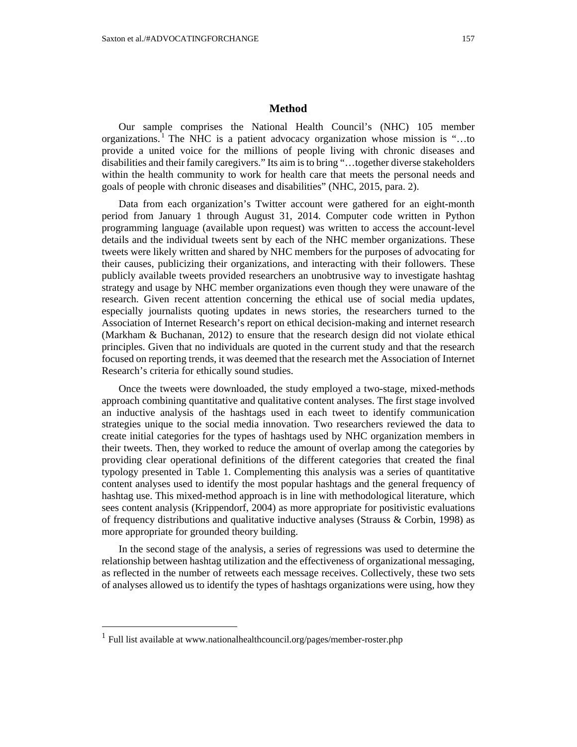## **Method**

Our sample comprises the National Health Council's (NHC) 105 member organizations. <sup>1</sup> The NHC is a patient advocacy organization whose mission is "...to provide a united voice for the millions of people living with chronic diseases and disabilities and their family caregivers." Its aim is to bring "…together diverse stakeholders within the health community to work for health care that meets the personal needs and goals of people with chronic diseases and disabilities" (NHC, 2015, para. 2).

Data from each organization's Twitter account were gathered for an eight-month period from January 1 through August 31, 2014. Computer code written in Python programming language (available upon request) was written to access the account-level details and the individual tweets sent by each of the NHC member organizations. These tweets were likely written and shared by NHC members for the purposes of advocating for their causes, publicizing their organizations, and interacting with their followers. These publicly available tweets provided researchers an unobtrusive way to investigate hashtag strategy and usage by NHC member organizations even though they were unaware of the research. Given recent attention concerning the ethical use of social media updates, especially journalists quoting updates in news stories, the researchers turned to the Association of Internet Research's report on ethical decision-making and internet research (Markham & Buchanan, 2012) to ensure that the research design did not violate ethical principles. Given that no individuals are quoted in the current study and that the research focused on reporting trends, it was deemed that the research met the Association of Internet Research's criteria for ethically sound studies.

Once the tweets were downloaded, the study employed a two-stage, mixed-methods approach combining quantitative and qualitative content analyses. The first stage involved an inductive analysis of the hashtags used in each tweet to identify communication strategies unique to the social media innovation. Two researchers reviewed the data to create initial categories for the types of hashtags used by NHC organization members in their tweets. Then, they worked to reduce the amount of overlap among the categories by providing clear operational definitions of the different categories that created the final typology presented in Table 1. Complementing this analysis was a series of quantitative content analyses used to identify the most popular hashtags and the general frequency of hashtag use. This mixed-method approach is in line with methodological literature, which sees content analysis (Krippendorf, 2004) as more appropriate for positivistic evaluations of frequency distributions and qualitative inductive analyses (Strauss & Corbin, 1998) as more appropriate for grounded theory building.

In the second stage of the analysis, a series of regressions was used to determine the relationship between hashtag utilization and the effectiveness of organizational messaging, as reflected in the number of retweets each message receives. Collectively, these two sets of analyses allowed us to identify the types of hashtags organizations were using, how they

 $\overline{a}$ 

<sup>&</sup>lt;sup>1</sup> Full list available at www.nationalhealthcouncil.org/pages/member-roster.php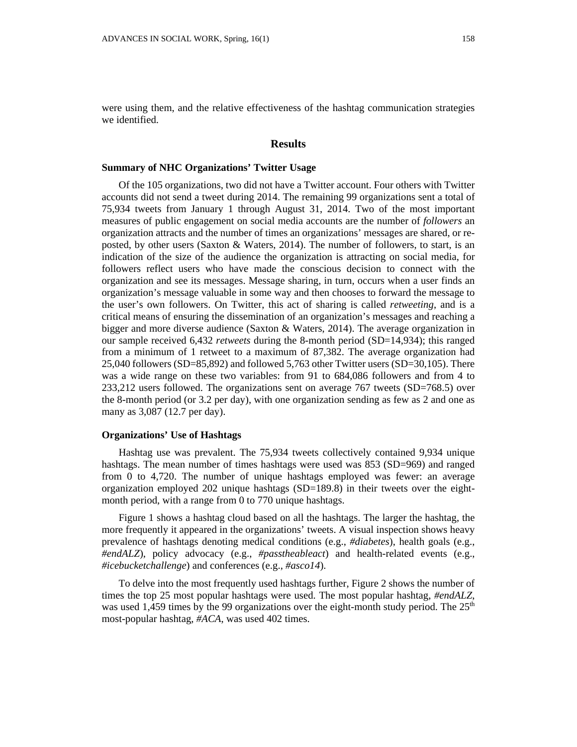were using them, and the relative effectiveness of the hashtag communication strategies we identified.

#### **Results**

## **Summary of NHC Organizations' Twitter Usage**

Of the 105 organizations, two did not have a Twitter account. Four others with Twitter accounts did not send a tweet during 2014. The remaining 99 organizations sent a total of 75,934 tweets from January 1 through August 31, 2014. Two of the most important measures of public engagement on social media accounts are the number of *followers* an organization attracts and the number of times an organizations' messages are shared, or reposted, by other users (Saxton & Waters, 2014). The number of followers, to start, is an indication of the size of the audience the organization is attracting on social media, for followers reflect users who have made the conscious decision to connect with the organization and see its messages. Message sharing, in turn, occurs when a user finds an organization's message valuable in some way and then chooses to forward the message to the user's own followers. On Twitter, this act of sharing is called *retweeting*, and is a critical means of ensuring the dissemination of an organization's messages and reaching a bigger and more diverse audience (Saxton & Waters, 2014). The average organization in our sample received 6,432 *retweets* during the 8-month period (SD=14,934); this ranged from a minimum of 1 retweet to a maximum of 87,382. The average organization had 25,040 followers (SD=85,892) and followed 5,763 other Twitter users (SD=30,105). There was a wide range on these two variables: from 91 to 684,086 followers and from 4 to 233,212 users followed. The organizations sent on average 767 tweets (SD=768.5) over the 8-month period (or 3.2 per day), with one organization sending as few as 2 and one as many as 3,087 (12.7 per day).

## **Organizations' Use of Hashtags**

Hashtag use was prevalent. The 75,934 tweets collectively contained 9,934 unique hashtags. The mean number of times hashtags were used was 853 (SD=969) and ranged from 0 to 4,720. The number of unique hashtags employed was fewer: an average organization employed 202 unique hashtags  $(SD=189.8)$  in their tweets over the eightmonth period, with a range from 0 to 770 unique hashtags.

Figure 1 shows a hashtag cloud based on all the hashtags. The larger the hashtag, the more frequently it appeared in the organizations' tweets. A visual inspection shows heavy prevalence of hashtags denoting medical conditions (e.g., *#diabetes*), health goals (e.g., *#endALZ*), policy advocacy (e.g., *#passtheableact*) and health-related events (e.g., *#icebucketchallenge*) and conferences (e.g., *#asco14*).

To delve into the most frequently used hashtags further, Figure 2 shows the number of times the top 25 most popular hashtags were used. The most popular hashtag, *#endALZ*, was used 1,459 times by the 99 organizations over the eight-month study period. The  $25<sup>th</sup>$ most-popular hashtag, *#ACA*, was used 402 times.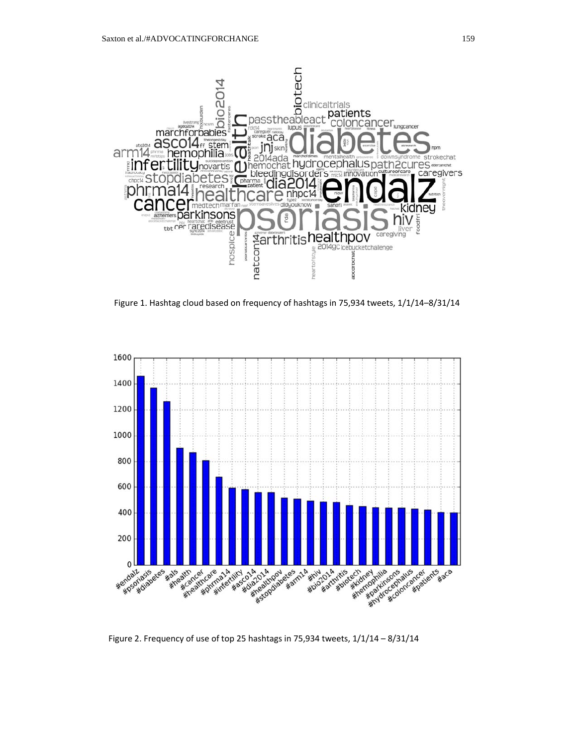

Figure 1. Hashtag cloud based on frequency of hashtags in 75,934 tweets, 1/1/14–8/31/14



Figure 2. Frequency of use of top 25 hashtags in 75,934 tweets, 1/1/14 – 8/31/14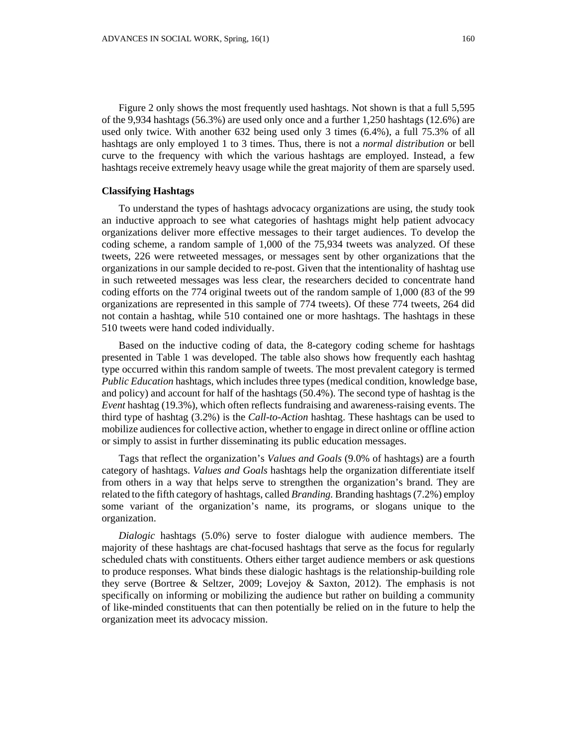Figure 2 only shows the most frequently used hashtags. Not shown is that a full 5,595 of the 9,934 hashtags (56.3%) are used only once and a further 1,250 hashtags (12.6%) are used only twice. With another 632 being used only 3 times (6.4%), a full 75.3% of all hashtags are only employed 1 to 3 times. Thus, there is not a *normal distribution* or bell curve to the frequency with which the various hashtags are employed. Instead, a few hashtags receive extremely heavy usage while the great majority of them are sparsely used.

## **Classifying Hashtags**

To understand the types of hashtags advocacy organizations are using, the study took an inductive approach to see what categories of hashtags might help patient advocacy organizations deliver more effective messages to their target audiences. To develop the coding scheme, a random sample of 1,000 of the 75,934 tweets was analyzed. Of these tweets, 226 were retweeted messages, or messages sent by other organizations that the organizations in our sample decided to re-post. Given that the intentionality of hashtag use in such retweeted messages was less clear, the researchers decided to concentrate hand coding efforts on the 774 original tweets out of the random sample of 1,000 (83 of the 99 organizations are represented in this sample of 774 tweets). Of these 774 tweets, 264 did not contain a hashtag, while 510 contained one or more hashtags. The hashtags in these 510 tweets were hand coded individually.

Based on the inductive coding of data, the 8-category coding scheme for hashtags presented in Table 1 was developed. The table also shows how frequently each hashtag type occurred within this random sample of tweets. The most prevalent category is termed *Public Education* hashtags, which includes three types (medical condition, knowledge base, and policy) and account for half of the hashtags (50.4%). The second type of hashtag is the *Event* hashtag (19.3%), which often reflects fundraising and awareness-raising events. The third type of hashtag (3.2%) is the *Call-to-Action* hashtag. These hashtags can be used to mobilize audiences for collective action, whether to engage in direct online or offline action or simply to assist in further disseminating its public education messages.

Tags that reflect the organization's *Values and Goals* (9.0% of hashtags) are a fourth category of hashtags. *Values and Goals* hashtags help the organization differentiate itself from others in a way that helps serve to strengthen the organization's brand. They are related to the fifth category of hashtags, called *Branding.* Branding hashtags (7.2%) employ some variant of the organization's name, its programs, or slogans unique to the organization.

*Dialogic* hashtags (5.0%) serve to foster dialogue with audience members. The majority of these hashtags are chat-focused hashtags that serve as the focus for regularly scheduled chats with constituents. Others either target audience members or ask questions to produce responses. What binds these dialogic hashtags is the relationship-building role they serve (Bortree & Seltzer, 2009; Lovejoy & Saxton, 2012). The emphasis is not specifically on informing or mobilizing the audience but rather on building a community of like-minded constituents that can then potentially be relied on in the future to help the organization meet its advocacy mission.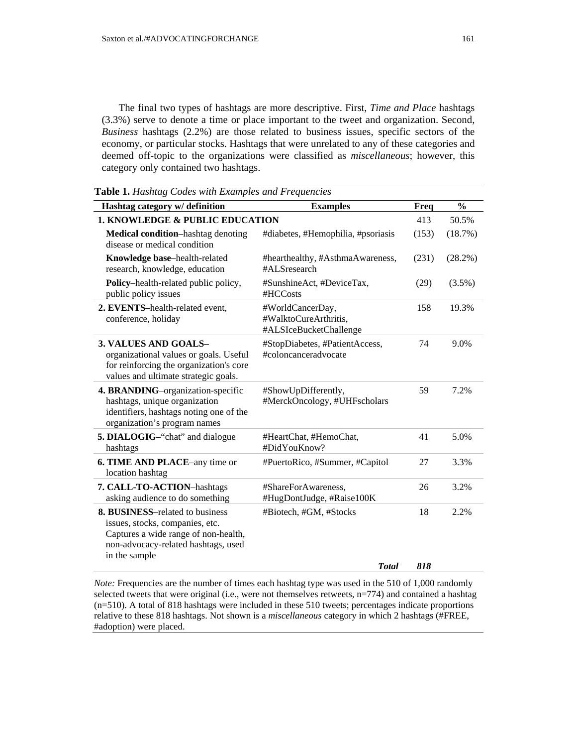The final two types of hashtags are more descriptive. First, *Time and Place* hashtags (3.3%) serve to denote a time or place important to the tweet and organization. Second, *Business* hashtags (2.2%) are those related to business issues, specific sectors of the economy, or particular stocks. Hashtags that were unrelated to any of these categories and deemed off-topic to the organizations were classified as *miscellaneous*; however, this category only contained two hashtags.

| Hashtag category w/ definition                                                                                                                                            | <b>Examples</b>                                                     | Freq  | $\frac{0}{0}$ |
|---------------------------------------------------------------------------------------------------------------------------------------------------------------------------|---------------------------------------------------------------------|-------|---------------|
| 1. KNOWLEDGE & PUBLIC EDUCATION                                                                                                                                           | 413                                                                 | 50.5% |               |
| Medical condition-hashtag denoting<br>disease or medical condition                                                                                                        | #diabetes, #Hemophilia, #psoriasis                                  | (153) | (18.7%)       |
| Knowledge base-health-related<br>research, knowledge, education                                                                                                           | #hearthealthy, #AsthmaAwareness,<br>#ALSresearch                    | (231) | $(28.2\%)$    |
| Policy-health-related public policy,<br>public policy issues                                                                                                              | #SunshineAct, #DeviceTax,<br>#HCCosts                               | (29)  | $(3.5\%)$     |
| 2. EVENTS-health-related event,<br>conference, holiday                                                                                                                    | #WorldCancerDay,<br>#WalktoCureArthritis,<br>#ALSIceBucketChallenge | 158   | 19.3%         |
| <b>3. VALUES AND GOALS-</b><br>organizational values or goals. Useful<br>for reinforcing the organization's core<br>values and ultimate strategic goals.                  | #StopDiabetes, #PatientAccess,<br>#coloncanceradvocate              | 74    | 9.0%          |
| 4. BRANDING-organization-specific<br>hashtags, unique organization<br>identifiers, hashtags noting one of the<br>organization's program names                             | #ShowUpDifferently,<br>#MerckOncology, #UHFscholars                 | 59    | 7.2%          |
| <b>5. DIALOGIG-</b> "chat" and dialogue<br>hashtags                                                                                                                       | #HeartChat, #HemoChat,<br>#DidYouKnow?                              | 41    | 5.0%          |
| 6. TIME AND PLACE-any time or<br>location hashtag                                                                                                                         | #PuertoRico, #Summer, #Capitol                                      | 27    | 3.3%          |
| 7. CALL-TO-ACTION-hashtags<br>asking audience to do something                                                                                                             | #ShareForAwareness,<br>#HugDontJudge, #Raise100K                    | 26    | 3.2%          |
| <b>8. BUSINESS–related to business</b><br>issues, stocks, companies, etc.<br>Captures a wide range of non-health,<br>non-advocacy-related hashtags, used<br>in the sample | #Biotech, #GM, #Stocks                                              | 18    | 2.2%          |
|                                                                                                                                                                           | <b>T</b> otal                                                       | 818   |               |

*Note:* Frequencies are the number of times each hashtag type was used in the 510 of 1,000 randomly selected tweets that were original (i.e., were not themselves retweets, n=774) and contained a hashtag (n=510). A total of 818 hashtags were included in these 510 tweets; percentages indicate proportions relative to these 818 hashtags. Not shown is a *miscellaneous* category in which 2 hashtags (#FREE, #adoption) were placed.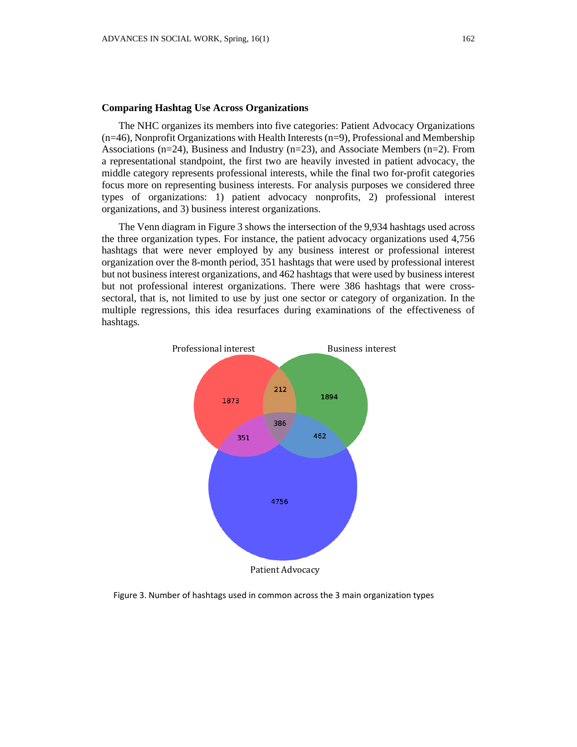### **Comparing Hashtag Use Across Organizations**

The NHC organizes its members into five categories: Patient Advocacy Organizations (n=46), Nonprofit Organizations with Health Interests (n=9), Professional and Membership Associations  $(n=24)$ , Business and Industry  $(n=23)$ , and Associate Members  $(n=2)$ . From a representational standpoint, the first two are heavily invested in patient advocacy, the middle category represents professional interests, while the final two for-profit categories focus more on representing business interests. For analysis purposes we considered three types of organizations: 1) patient advocacy nonprofits, 2) professional interest organizations, and 3) business interest organizations.

The Venn diagram in Figure 3 shows the intersection of the 9,934 hashtags used across the three organization types. For instance, the patient advocacy organizations used 4,756 hashtags that were never employed by any business interest or professional interest organization over the 8-month period, 351 hashtags that were used by professional interest but not business interest organizations, and 462 hashtags that were used by business interest but not professional interest organizations. There were 386 hashtags that were crosssectoral, that is, not limited to use by just one sector or category of organization. In the multiple regressions, this idea resurfaces during examinations of the effectiveness of hashtags*.*



Figure 3. Number of hashtags used in common across the 3 main organization types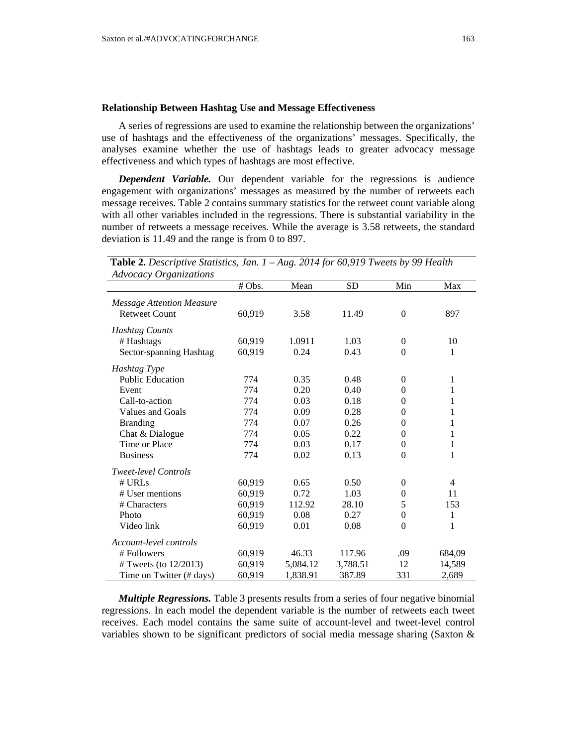## **Relationship Between Hashtag Use and Message Effectiveness**

A series of regressions are used to examine the relationship between the organizations' use of hashtags and the effectiveness of the organizations' messages. Specifically, the analyses examine whether the use of hashtags leads to greater advocacy message effectiveness and which types of hashtags are most effective.

*Dependent Variable.* Our dependent variable for the regressions is audience engagement with organizations' messages as measured by the number of retweets each message receives. Table 2 contains summary statistics for the retweet count variable along with all other variables included in the regressions. There is substantial variability in the number of retweets a message receives. While the average is 3.58 retweets, the standard deviation is 11.49 and the range is from 0 to 897.

| Auvocac y Organizations                                  | # Obs. | Mean     | <b>SD</b> | Min              | Max            |
|----------------------------------------------------------|--------|----------|-----------|------------------|----------------|
|                                                          |        |          |           |                  |                |
| <b>Message Attention Measure</b><br><b>Retweet Count</b> | 60,919 | 3.58     | 11.49     | $\mathbf{0}$     | 897            |
|                                                          |        |          |           |                  |                |
| <b>Hashtag Counts</b>                                    |        |          |           |                  |                |
| # Hashtags                                               | 60,919 | 1.0911   | 1.03      | $\boldsymbol{0}$ | 10             |
| Sector-spanning Hashtag                                  | 60,919 | 0.24     | 0.43      | $\boldsymbol{0}$ | $\mathbf{1}$   |
| Hashtag Type                                             |        |          |           |                  |                |
| <b>Public Education</b>                                  | 774    | 0.35     | 0.48      | $\theta$         | 1              |
| Event                                                    | 774    | 0.20     | 0.40      | $\theta$         | 1              |
| Call-to-action                                           | 774    | 0.03     | 0.18      | $\theta$         | $\mathbf{1}$   |
| Values and Goals                                         | 774    | 0.09     | 0.28      | $\theta$         | 1              |
| <b>Branding</b>                                          | 774    | 0.07     | 0.26      | $\theta$         | $\mathbf 1$    |
| Chat & Dialogue                                          | 774    | 0.05     | 0.22      | $\overline{0}$   | 1              |
| Time or Place                                            | 774    | 0.03     | 0.17      | $\boldsymbol{0}$ | $\mathbf{1}$   |
| <b>Business</b>                                          | 774    | 0.02     | 0.13      | $\boldsymbol{0}$ | $\mathbf{1}$   |
| <b>Tweet-level Controls</b>                              |        |          |           |                  |                |
| # <b>URLs</b>                                            | 60,919 | 0.65     | 0.50      | $\theta$         | $\overline{4}$ |
| # User mentions                                          | 60,919 | 0.72     | 1.03      | $\overline{0}$   | 11             |
| # Characters                                             | 60,919 | 112.92   | 28.10     | 5                | 153            |
| Photo                                                    | 60,919 | 0.08     | 0.27      | $\boldsymbol{0}$ | $\mathbf{1}$   |
| Video link                                               | 60,919 | 0.01     | 0.08      | $\theta$         | 1              |
| Account-level controls                                   |        |          |           |                  |                |
| #Followers                                               | 60,919 | 46.33    | 117.96    | .09              | 684,09         |
| # Tweets (to $12/2013$ )                                 | 60,919 | 5,084.12 | 3,788.51  | 12               | 14,589         |
| Time on Twitter (# days)                                 | 60,919 | 1,838.91 | 387.89    | 331              | 2,689          |

| <b>Table 2.</b> Descriptive Statistics, Jan. $1 - Aug.$ 2014 for 60,919 Tweets by 99 Health |  |  |
|---------------------------------------------------------------------------------------------|--|--|
| <b>Advocacy Organizations</b>                                                               |  |  |

*Multiple Regressions.* Table 3 presents results from a series of four negative binomial regressions. In each model the dependent variable is the number of retweets each tweet receives. Each model contains the same suite of account-level and tweet-level control variables shown to be significant predictors of social media message sharing (Saxton  $\&$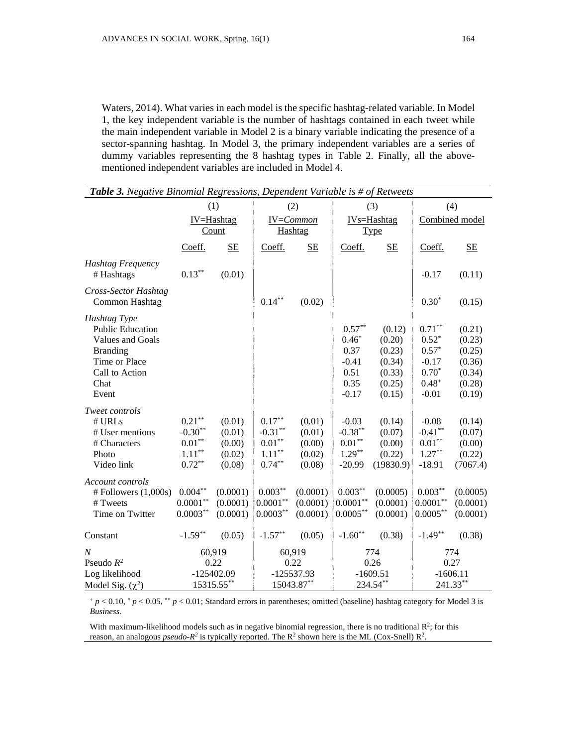Waters, 2014). What varies in each model is the specific hashtag-related variable. In Model 1, the key independent variable is the number of hashtags contained in each tweet while the main independent variable in Model 2 is a binary variable indicating the presence of a sector-spanning hashtag. In Model 3, the primary independent variables are a series of dummy variables representing the 8 hashtag types in Table 2. Finally, all the abovementioned independent variables are included in Model 4.

| Table 3. Negative Binomial Regressions, Dependent Variable is # of Retweets                                                        |                                                                      |                                                |                                                                      |                                                |                                                                   |                                                                    |                                                                                |                                                                    |
|------------------------------------------------------------------------------------------------------------------------------------|----------------------------------------------------------------------|------------------------------------------------|----------------------------------------------------------------------|------------------------------------------------|-------------------------------------------------------------------|--------------------------------------------------------------------|--------------------------------------------------------------------------------|--------------------------------------------------------------------|
|                                                                                                                                    | (1)                                                                  |                                                | (2)                                                                  |                                                | (3)                                                               |                                                                    | (4)                                                                            |                                                                    |
|                                                                                                                                    | IV=Hashtag<br><b>Count</b>                                           |                                                | IV=Common<br>Hashtag                                                 |                                                | IV <sub>s</sub> =Hashtag<br>Type                                  |                                                                    | Combined model                                                                 |                                                                    |
|                                                                                                                                    | Coeff.                                                               | <b>SE</b>                                      | Coeff.                                                               | <b>SE</b>                                      | Coeff.                                                            | <b>SE</b>                                                          | Coeff.                                                                         | SE                                                                 |
| <b>Hashtag Frequency</b><br># Hashtags                                                                                             | $0.13^{\ast\ast}$                                                    | (0.01)                                         |                                                                      |                                                |                                                                   |                                                                    | $-0.17$                                                                        | (0.11)                                                             |
| Cross-Sector Hashtag<br>Common Hashtag                                                                                             |                                                                      |                                                | $0.14***$                                                            | (0.02)                                         |                                                                   |                                                                    | $0.30*$                                                                        | (0.15)                                                             |
| Hashtag Type<br><b>Public Education</b><br>Values and Goals<br><b>Branding</b><br>Time or Place<br>Call to Action<br>Chat<br>Event |                                                                      |                                                |                                                                      |                                                | $0.57**$<br>$0.46*$<br>0.37<br>$-0.41$<br>0.51<br>0.35<br>$-0.17$ | (0.12)<br>(0.20)<br>(0.23)<br>(0.34)<br>(0.33)<br>(0.25)<br>(0.15) | $0.71***$<br>$0.52*$<br>$0.57*$<br>$-0.17$<br>$0.70*$<br>$0.48^{+}$<br>$-0.01$ | (0.21)<br>(0.23)<br>(0.25)<br>(0.36)<br>(0.34)<br>(0.28)<br>(0.19) |
| Tweet controls<br># URLs<br># User mentions<br># Characters<br>Photo<br>Video link                                                 | $0.21***$<br>$-0.30**$<br>$0.01**$<br>$1.11^{\ast\ast}$<br>$0.72***$ | (0.01)<br>(0.01)<br>(0.00)<br>(0.02)<br>(0.08) | $0.17***$<br>$-0.31**$<br>$0.01**$<br>$1.11^{\ast\ast}$<br>$0.74***$ | (0.01)<br>(0.01)<br>(0.00)<br>(0.02)<br>(0.08) | $-0.03$<br>$-0.38***$<br>$0.01**$<br>$1.29***$<br>$-20.99$        | (0.14)<br>(0.07)<br>(0.00)<br>(0.22)<br>(19830.9)                  | $-0.08$<br>$-0.41***$<br>$0.01***$<br>$1.27***$<br>$-18.91$                    | (0.14)<br>(0.07)<br>(0.00)<br>(0.22)<br>(7067.4)                   |
| Account controls<br>$#$ Followers $(1,000s)$<br># Tweets<br>Time on Twitter                                                        | $0.004***$<br>$0.0001**$<br>$0.0003***$                              | (0.0001)<br>(0.0001)<br>(0.0001)               | $0.003***$<br>$0.0001**$<br>$0.0003**$                               | (0.0001)<br>(0.0001)<br>(0.0001)               | $0.003***$<br>$0.0001**$<br>$0.0005***$                           | (0.0005)<br>(0.0001)<br>(0.0001)                                   | $0.003***$<br>$0.0001***$<br>$0.0005***$                                       | (0.0005)<br>(0.0001)<br>(0.0001)                                   |
| Constant                                                                                                                           | $-1.59**$                                                            | (0.05)                                         | $-1.57**$                                                            | (0.05)                                         | $-1.60**$                                                         | (0.38)                                                             | $-1.49**$                                                                      | (0.38)                                                             |
| $\boldsymbol{N}$<br>Pseudo $R^2$<br>Log likelihood<br>Model Sig. $(\chi^2)$                                                        | 60,919<br>0.22<br>$-125402.09$<br>15315.55**                         |                                                | 60,919<br>0.22<br>-125537.93<br>15043.87**                           |                                                | 774<br>0.26<br>$-1609.51$<br>234.54**                             |                                                                    | 774<br>0.27<br>$-1606.11$<br>241.33**                                          |                                                                    |

<sup>+</sup> *p* < 0.10, \* *p* < 0.05, \*\* *p* < 0.01; Standard errors in parentheses; omitted (baseline) hashtag category for Model 3 is *Business*.

With maximum-likelihood models such as in negative binomial regression, there is no traditional  $\mathbb{R}^2$ ; for this reason, an analogous *pseudo-R<sup>2</sup>* is typically reported. The R<sup>2</sup> shown here is the ML (Cox-Snell) R<sup>2</sup>.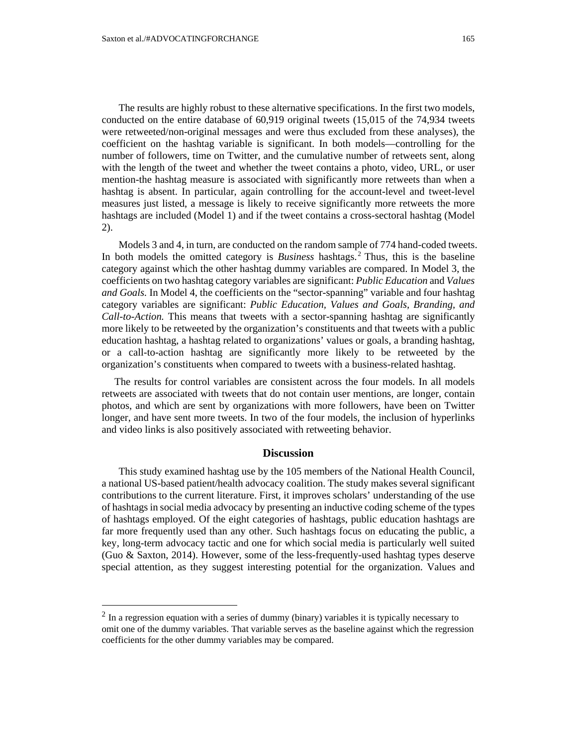The results are highly robust to these alternative specifications. In the first two models, conducted on the entire database of 60,919 original tweets (15,015 of the 74,934 tweets were retweeted/non-original messages and were thus excluded from these analyses), the coefficient on the hashtag variable is significant. In both models—controlling for the number of followers, time on Twitter, and the cumulative number of retweets sent, along with the length of the tweet and whether the tweet contains a photo, video, URL, or user mention-the hashtag measure is associated with significantly more retweets than when a hashtag is absent. In particular, again controlling for the account-level and tweet-level measures just listed, a message is likely to receive significantly more retweets the more hashtags are included (Model 1) and if the tweet contains a cross-sectoral hashtag (Model 2).

Models 3 and 4, in turn, are conducted on the random sample of 774 hand-coded tweets. In both models the omitted category is *Business* hashtags.<sup>2</sup> Thus, this is the baseline category against which the other hashtag dummy variables are compared. In Model 3, the coefficients on two hashtag category variables are significant: *Public Education* and *Values and Goals.* In Model 4, the coefficients on the "sector-spanning" variable and four hashtag category variables are significant: *Public Education, Values and Goals, Branding, and Call-to-Action.* This means that tweets with a sector-spanning hashtag are significantly more likely to be retweeted by the organization's constituents and that tweets with a public education hashtag, a hashtag related to organizations' values or goals, a branding hashtag, or a call-to-action hashtag are significantly more likely to be retweeted by the organization's constituents when compared to tweets with a business-related hashtag.

The results for control variables are consistent across the four models. In all models retweets are associated with tweets that do not contain user mentions, are longer, contain photos, and which are sent by organizations with more followers, have been on Twitter longer, and have sent more tweets. In two of the four models, the inclusion of hyperlinks and video links is also positively associated with retweeting behavior.

#### **Discussion**

This study examined hashtag use by the 105 members of the National Health Council, a national US-based patient/health advocacy coalition. The study makes several significant contributions to the current literature. First, it improves scholars' understanding of the use of hashtags in social media advocacy by presenting an inductive coding scheme of the types of hashtags employed. Of the eight categories of hashtags, public education hashtags are far more frequently used than any other. Such hashtags focus on educating the public, a key, long-term advocacy tactic and one for which social media is particularly well suited (Guo & Saxton, 2014). However, some of the less-frequently-used hashtag types deserve special attention, as they suggest interesting potential for the organization. Values and

 $\overline{a}$ 

 $2$  In a regression equation with a series of dummy (binary) variables it is typically necessary to omit one of the dummy variables. That variable serves as the baseline against which the regression coefficients for the other dummy variables may be compared.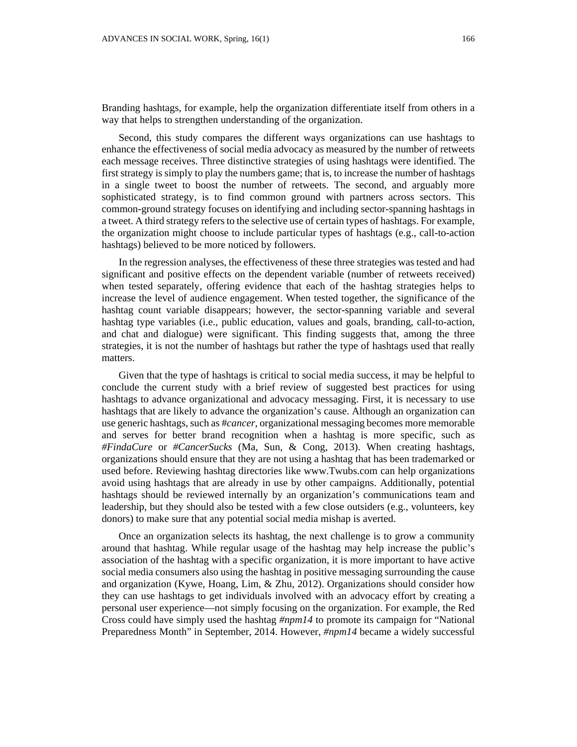Branding hashtags, for example, help the organization differentiate itself from others in a way that helps to strengthen understanding of the organization.

Second, this study compares the different ways organizations can use hashtags to enhance the effectiveness of social media advocacy as measured by the number of retweets each message receives. Three distinctive strategies of using hashtags were identified. The first strategy is simply to play the numbers game; that is, to increase the number of hashtags in a single tweet to boost the number of retweets. The second, and arguably more sophisticated strategy, is to find common ground with partners across sectors. This common-ground strategy focuses on identifying and including sector-spanning hashtags in a tweet. A third strategy refers to the selective use of certain types of hashtags. For example, the organization might choose to include particular types of hashtags (e.g., call-to-action hashtags) believed to be more noticed by followers.

In the regression analyses, the effectiveness of these three strategies was tested and had significant and positive effects on the dependent variable (number of retweets received) when tested separately, offering evidence that each of the hashtag strategies helps to increase the level of audience engagement. When tested together, the significance of the hashtag count variable disappears; however, the sector-spanning variable and several hashtag type variables (i.e., public education, values and goals, branding, call-to-action, and chat and dialogue) were significant. This finding suggests that, among the three strategies, it is not the number of hashtags but rather the type of hashtags used that really matters.

Given that the type of hashtags is critical to social media success, it may be helpful to conclude the current study with a brief review of suggested best practices for using hashtags to advance organizational and advocacy messaging. First, it is necessary to use hashtags that are likely to advance the organization's cause. Although an organization can use generic hashtags, such as #*cancer*, organizational messaging becomes more memorable and serves for better brand recognition when a hashtag is more specific, such as *#FindaCure* or *#CancerSucks* (Ma, Sun, & Cong, 2013). When creating hashtags, organizations should ensure that they are not using a hashtag that has been trademarked or used before. Reviewing hashtag directories like www.Twubs.com can help organizations avoid using hashtags that are already in use by other campaigns. Additionally, potential hashtags should be reviewed internally by an organization's communications team and leadership, but they should also be tested with a few close outsiders (e.g., volunteers, key donors) to make sure that any potential social media mishap is averted.

Once an organization selects its hashtag, the next challenge is to grow a community around that hashtag. While regular usage of the hashtag may help increase the public's association of the hashtag with a specific organization, it is more important to have active social media consumers also using the hashtag in positive messaging surrounding the cause and organization (Kywe, Hoang, Lim, & Zhu, 2012). Organizations should consider how they can use hashtags to get individuals involved with an advocacy effort by creating a personal user experience—not simply focusing on the organization. For example, the Red Cross could have simply used the hashtag *#npm14* to promote its campaign for "National Preparedness Month" in September, 2014. However, *#npm14* became a widely successful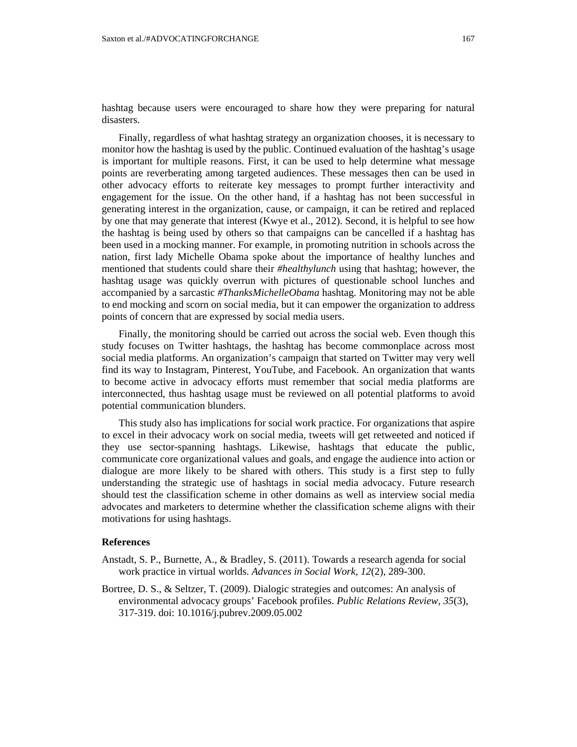hashtag because users were encouraged to share how they were preparing for natural disasters.

Finally, regardless of what hashtag strategy an organization chooses, it is necessary to monitor how the hashtag is used by the public. Continued evaluation of the hashtag's usage is important for multiple reasons. First, it can be used to help determine what message points are reverberating among targeted audiences. These messages then can be used in other advocacy efforts to reiterate key messages to prompt further interactivity and engagement for the issue. On the other hand, if a hashtag has not been successful in generating interest in the organization, cause, or campaign, it can be retired and replaced by one that may generate that interest (Kwye et al., 2012). Second, it is helpful to see how the hashtag is being used by others so that campaigns can be cancelled if a hashtag has been used in a mocking manner. For example, in promoting nutrition in schools across the nation, first lady Michelle Obama spoke about the importance of healthy lunches and mentioned that students could share their *#healthylunch* using that hashtag; however, the hashtag usage was quickly overrun with pictures of questionable school lunches and accompanied by a sarcastic *#ThanksMichelleObama* hashtag. Monitoring may not be able to end mocking and scorn on social media, but it can empower the organization to address points of concern that are expressed by social media users.

Finally, the monitoring should be carried out across the social web. Even though this study focuses on Twitter hashtags, the hashtag has become commonplace across most social media platforms. An organization's campaign that started on Twitter may very well find its way to Instagram, Pinterest, YouTube, and Facebook. An organization that wants to become active in advocacy efforts must remember that social media platforms are interconnected, thus hashtag usage must be reviewed on all potential platforms to avoid potential communication blunders.

This study also has implications for social work practice. For organizations that aspire to excel in their advocacy work on social media, tweets will get retweeted and noticed if they use sector-spanning hashtags. Likewise, hashtags that educate the public, communicate core organizational values and goals, and engage the audience into action or dialogue are more likely to be shared with others. This study is a first step to fully understanding the strategic use of hashtags in social media advocacy. Future research should test the classification scheme in other domains as well as interview social media advocates and marketers to determine whether the classification scheme aligns with their motivations for using hashtags.

## **References**

- Anstadt, S. P., Burnette, A., & Bradley, S. (2011). Towards a research agenda for social work practice in virtual worlds. *Advances in Social Work, 12*(2), 289-300.
- Bortree, D. S., & Seltzer, T. (2009). Dialogic strategies and outcomes: An analysis of environmental advocacy groups' Facebook profiles. *Public Relations Review, 35*(3), 317-319. doi: 10.1016/j.pubrev.2009.05.002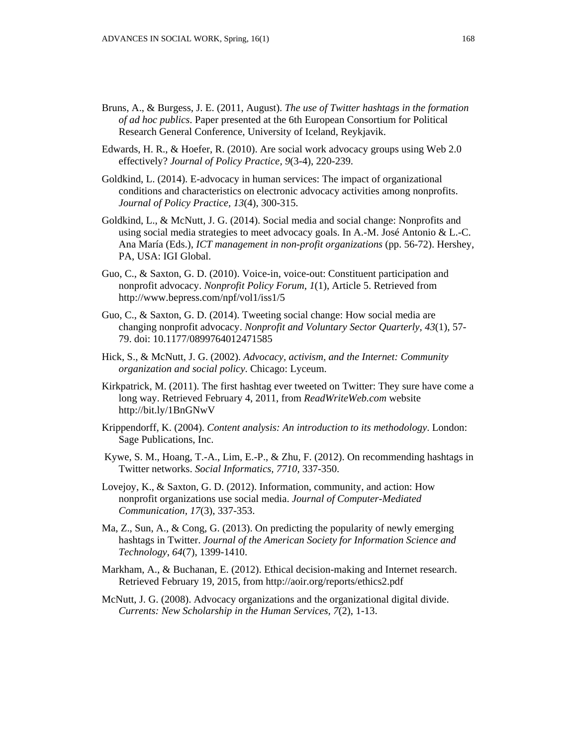- Bruns, A., & Burgess, J. E. (2011, August). *The use of Twitter hashtags in the formation of ad hoc publics*. Paper presented at the 6th European Consortium for Political Research General Conference, University of Iceland, Reykjavik.
- Edwards, H. R., & Hoefer, R. (2010). Are social work advocacy groups using Web 2.0 effectively? *Journal of Policy Practice, 9*(3-4), 220-239.
- Goldkind, L. (2014). E-advocacy in human services: The impact of organizational conditions and characteristics on electronic advocacy activities among nonprofits. *Journal of Policy Practice, 13*(4), 300-315.
- Goldkind, L., & McNutt, J. G. (2014). Social media and social change: Nonprofits and using social media strategies to meet advocacy goals. In A.-M. José Antonio & L.-C. Ana María (Eds.), *ICT management in non-profit organizations* (pp. 56-72). Hershey, PA, USA: IGI Global.
- Guo, C., & Saxton, G. D. (2010). Voice-in, voice-out: Constituent participation and nonprofit advocacy. *Nonprofit Policy Forum*, *1*(1), Article 5. Retrieved from http://www.bepress.com/npf/vol1/iss1/5
- Guo, C., & Saxton, G. D. (2014). Tweeting social change: How social media are changing nonprofit advocacy. *Nonprofit and Voluntary Sector Quarterly, 43*(1), 57- 79. doi: 10.1177/0899764012471585
- Hick, S., & McNutt, J. G. (2002). *Advocacy, activism, and the Internet: Community organization and social policy*. Chicago: Lyceum.
- Kirkpatrick, M. (2011). The first hashtag ever tweeted on Twitter: They sure have come a long way. Retrieved February 4, 2011, from *ReadWriteWeb.com* website http://bit.ly/1BnGNwV
- Krippendorff, K. (2004). *Content analysis: An introduction to its methodology*. London: Sage Publications, Inc.
- Kywe, S. M., Hoang, T.-A., Lim, E.-P., & Zhu, F. (2012). On recommending hashtags in Twitter networks. *Social Informatics, 7710,* 337-350.
- Lovejoy, K., & Saxton, G. D. (2012). Information, community, and action: How nonprofit organizations use social media. *Journal of Computer-Mediated Communication, 17*(3), 337-353.
- Ma, Z., Sun, A., & Cong, G. (2013). On predicting the popularity of newly emerging hashtags in Twitter. *Journal of the American Society for Information Science and Technology*, *64*(7), 1399-1410.
- Markham, A., & Buchanan, E. (2012). Ethical decision-making and Internet research. Retrieved February 19, 2015, from http://aoir.org/reports/ethics2.pdf
- McNutt, J. G. (2008). Advocacy organizations and the organizational digital divide. *Currents: New Scholarship in the Human Services, 7*(2), 1-13.